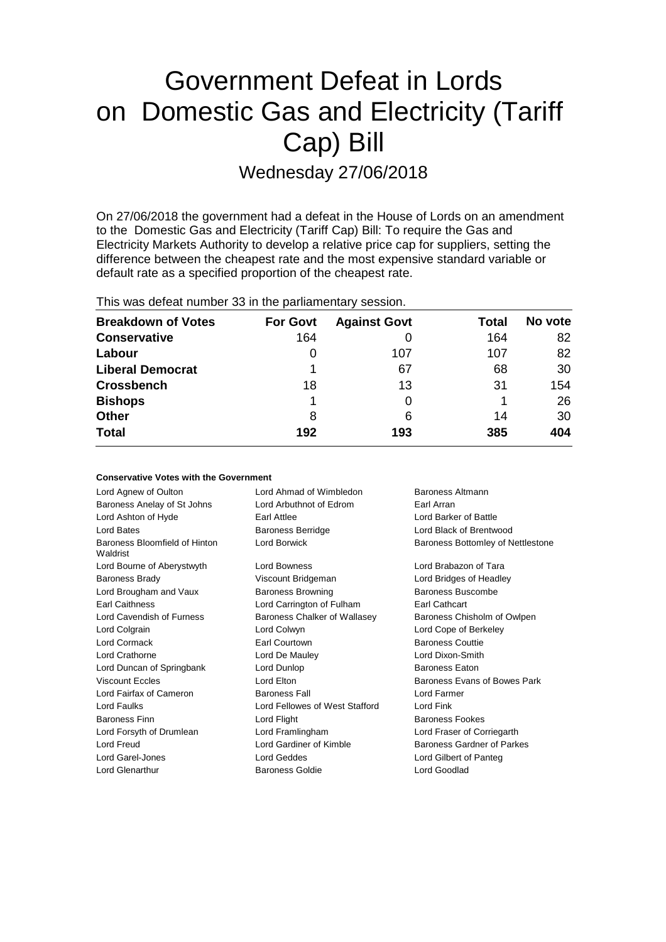# Government Defeat in Lords on Domestic Gas and Electricity (Tariff Cap) Bill Wednesday 27/06/2018

On 27/06/2018 the government had a defeat in the House of Lords on an amendment to the Domestic Gas and Electricity (Tariff Cap) Bill: To require the Gas and Electricity Markets Authority to develop a relative price cap for suppliers, setting the difference between the cheapest rate and the most expensive standard variable or default rate as a specified proportion of the cheapest rate.

| This was assembly handled in the partiamentally seconditi |                 |                     |       |         |  |
|-----------------------------------------------------------|-----------------|---------------------|-------|---------|--|
| <b>Breakdown of Votes</b>                                 | <b>For Govt</b> | <b>Against Govt</b> | Total | No vote |  |
| <b>Conservative</b>                                       | 164             |                     | 164   | 82      |  |
| Labour                                                    | 0               | 107                 | 107   | 82      |  |
| <b>Liberal Democrat</b>                                   |                 | 67                  | 68    | 30      |  |
| <b>Crossbench</b>                                         | 18              | 13                  | 31    | 154     |  |
| <b>Bishops</b>                                            | 1               | 0                   |       | 26      |  |
| <b>Other</b>                                              | 8               | 6                   | 14    | 30      |  |
| <b>Total</b>                                              | 192             | 193                 | 385   | 404     |  |
|                                                           |                 |                     |       |         |  |

This was defeat number 33 in the parliamentary session.

| <b>Conservative Votes with the Government</b> |                                |                                   |  |  |  |
|-----------------------------------------------|--------------------------------|-----------------------------------|--|--|--|
| Lord Agnew of Oulton                          | Lord Ahmad of Wimbledon        | Baroness Altmann                  |  |  |  |
| Baroness Anelay of St Johns                   | Lord Arbuthnot of Edrom        | Earl Arran                        |  |  |  |
| Lord Ashton of Hyde                           | Earl Attlee                    | Lord Barker of Battle             |  |  |  |
| <b>Lord Bates</b>                             | <b>Baroness Berridge</b>       | Lord Black of Brentwood           |  |  |  |
| Baroness Bloomfield of Hinton<br>Waldrist     | Lord Borwick                   | Baroness Bottomley of Nettlestone |  |  |  |
| Lord Bourne of Aberystwyth                    | Lord Bowness                   | Lord Brabazon of Tara             |  |  |  |
| <b>Baroness Brady</b>                         | Viscount Bridgeman             | Lord Bridges of Headley           |  |  |  |
| Lord Brougham and Vaux                        | <b>Baroness Browning</b>       | Baroness Buscombe                 |  |  |  |
| <b>Earl Caithness</b>                         | Lord Carrington of Fulham      | Earl Cathcart                     |  |  |  |
| Lord Cavendish of Furness                     | Baroness Chalker of Wallasey   | Baroness Chisholm of Owlpen       |  |  |  |
| Lord Colgrain                                 | Lord Colwyn                    | Lord Cope of Berkeley             |  |  |  |
| Lord Cormack                                  | Earl Courtown                  | <b>Baroness Couttie</b>           |  |  |  |
| Lord Crathorne                                | Lord De Mauley                 | Lord Dixon-Smith                  |  |  |  |
| Lord Duncan of Springbank                     | Lord Dunlop                    | <b>Baroness Eaton</b>             |  |  |  |
| <b>Viscount Eccles</b>                        | Lord Elton                     | Baroness Evans of Bowes Park      |  |  |  |
| Lord Fairfax of Cameron                       | <b>Baroness Fall</b>           | Lord Farmer                       |  |  |  |
| Lord Faulks                                   | Lord Fellowes of West Stafford | Lord Fink                         |  |  |  |
| <b>Baroness Finn</b>                          | Lord Flight                    | <b>Baroness Fookes</b>            |  |  |  |
| Lord Forsyth of Drumlean                      | Lord Framlingham               | Lord Fraser of Corriegarth        |  |  |  |
| Lord Freud                                    | Lord Gardiner of Kimble        | <b>Baroness Gardner of Parkes</b> |  |  |  |
| Lord Garel-Jones                              | <b>Lord Geddes</b>             | Lord Gilbert of Panteg            |  |  |  |
| Lord Glenarthur                               | Baroness Goldie                | Lord Goodlad                      |  |  |  |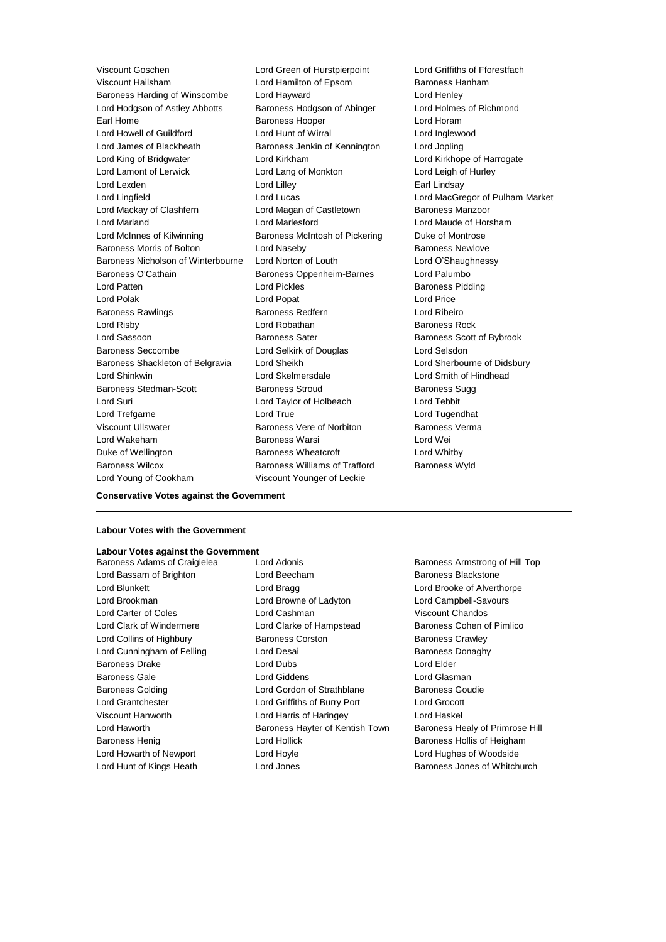Viscount Hailsham **Lord Hamilton of Epsom** Baroness Hanham Baroness Harding of Winscombe Lord Hayward Lord Henley Lord Hodgson of Astley Abbotts Baroness Hodgson of Abinger Lord Holmes of Richmond Earl Home **Baroness Hooper Baroness Hooper Lord Horam** Lord Howell of Guildford Lord Hunt of Wirral Lord Inglewood Lord James of Blackheath Baroness Jenkin of Kennington Lord Jopling Lord King of Bridgwater Lord Kirkham Lord Kirkhope of Harrogate Lord Lamont of Lerwick Lord Lang of Monkton Lord Leigh of Hurley Lord Lexden **Lord Lindsay** Lord Lilley **Communication** Lord Lilley **Earl Lindsay** Lord Lingfield Lord Lucas Lord MacGregor of Pulham Market Lord Mackay of Clashfern **Lord Magan of Castletown** Baroness Manzoor Lord Marland Lord Marlesford Lord Maude of Horsham Lord McInnes of Kilwinning Baroness McIntosh of Pickering Duke of Montrose Baroness Morris of Bolton Lord Naseby Baroness Newlove Baroness Nicholson of Winterbourne Lord Norton of Louth Lord O'Shaughnessy Baroness O'Cathain **Baroness Oppenheim-Barnes** Lord Palumbo Lord Patten **Lord Pickles Lord Pickles Baroness Pidding** Lord Polak Lord Popat Lord Price Baroness Rawlings **Baroness Redfern Baroness Redfern Lord Ribeiro Lord Risby Communist Communist Lord Robathan Communist Communist Communist Communist Communist Communist Communist Communist Communist Communist Communist Communist Communist Communist Communist Communist Communist Commun** Lord Sassoon Baroness Sater Baroness Scott of Bybrook Baroness Seccombe Lord Selkirk of Douglas Lord Selsdon Baroness Shackleton of Belgravia Lord Sheikh Lord Sherbourne of Didsbury Lord Shinkwin Lord Skelmersdale Lord Smith of Hindhead Baroness Stedman-Scott Baroness Stroud Baroness Sugg Lord Suri Lord Taylor of Holbeach Lord Tebbit Lord Trefgarne Lord True Lord Tugendhat Viscount Ullswater Baroness Vere of Norbiton Baroness Verma Lord Wakeham Baroness Warsi Lord Wei Duke of Wellington **Baroness Wheatcroft Lord Whitby** Baroness Wilcox **Baroness Williams of Trafford** Baroness Wyld Lord Young of Cookham Viscount Younger of Leckie

Viscount Goschen **Lord Green of Hurstpierpoint** Lord Griffiths of Fforestfach

#### **Conservative Votes against the Government**

#### **Labour Votes with the Government**

### **Labour Votes against the Government**

Baroness Adams of Craigielea Lord Adonis **Baroness Armstrong of Hill Top** Lord Bassam of Brighton **Bassam Container Baroness Blackstone** Lord Beecham Baroness Blackstone Lord Blunkett Lord Bragg Lord Brooke of Alverthorpe Lord Brookman Lord Browne of Ladyton Lord Campbell-Savours Lord Carter of Coles Lord Cashman Viscount Chandos Lord Clark of Windermere **Lord Clarke of Hampstead** Baroness Cohen of Pimlico Lord Collins of Highbury **Baroness Corston** Baroness Corston **Baroness Crawley** Lord Cunningham of Felling **Lord Desai Communist Communist Communist** Baroness Donaghy Baroness Drake Lord Dubs Lord Elder Baroness Gale Lord Giddens Lord Glasman Baroness Golding Lord Gordon of Strathblane Baroness Goudie Lord Grantchester Lord Griffiths of Burry Port Lord Grocott Viscount Hanworth Lord Harris of Haringey Lord Haskel Lord Haworth **Baroness Hayter of Kentish Town** Baroness Healy of Primrose Hill Baroness Henig **Exercise State Controllers** Lord Hollick **Baroness Hollis of Heigham** Lord Howarth of Newport Lord Hoyle Lord Hughes of Woodside Lord Hunt of Kings Heath **Lord Jones** Baroness Jones of Whitchurch Baroness Jones of Whitchurch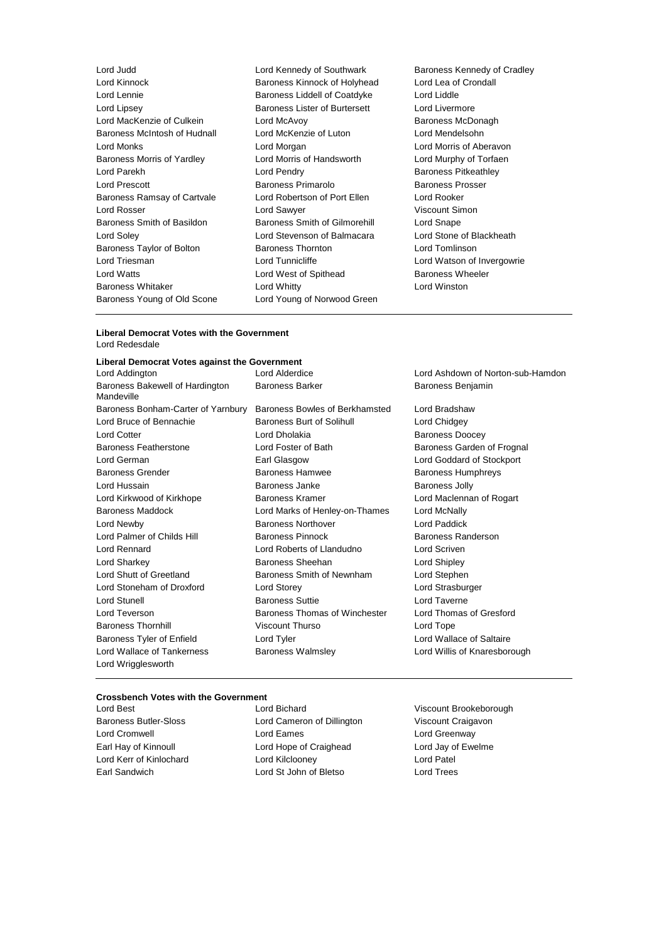Lord Judd<br>
Lord Kinnock **Lord Kennedy of Southwark Baroness Kennedy of Cradley**<br>
Lord Kinnock **Baroness Kinnock of Holyhead** Lord Lea of Crondall Lord Lennie **Baroness Liddell of Coatdyke** Lord Lipsey Baroness Lister of Burtersett Lord Livermore Lord MacKenzie of Culkein **Lord McAvoy Baroness McDonagh** Baroness McIntosh of Hudnall Lord McKenzie of Luton Lord Mendelsohn Lord Monks Lord Morgan Lord Morris of Aberavon Baroness Morris of Yardley Lord Morris of Handsworth Lord Murphy of Torfaen Lord Parekh **Lord Pendry Communist Lord Pendry Baroness Pitkeathley** Lord Prescott **Baroness Primarolo** Baroness Prosser Baroness Ramsay of Cartvale Lord Robertson of Port Ellen Lord Rooker Lord Rosser Lord Sawyer Viscount Simon Baroness Smith of Basildon Baroness Smith of Gilmorehill Lord Snape Lord Soley Lord Stevenson of Balmacara Lord Stone of Blackheath Baroness Taylor of Bolton Baroness Thornton Lord Tomlinson Lord Triesman **Lord Tunnicliffe** Lord Tunnicliffe Lord Watson of Invergowrie Lord Watts **Lord West of Spithead** Baroness Wheeler Baroness Whitaker **Lord Whitty** Lord Whitty **Lord Winston** Baroness Young of Old Scone Lord Young of Norwood Green

Baroness Kinnock of Holyhead Lord Lea of<br>Baroness Liddell of Coatdyke Lord Liddle

#### **Liberal Democrat Votes with the Government** Lord Redesdale

#### **Liberal Democrat Votes against the Government**

| Lord Addington                                | Lord Alderdice                 | Lord Ashdown of Norton-sub-Hamdon |
|-----------------------------------------------|--------------------------------|-----------------------------------|
| Baroness Bakewell of Hardington<br>Mandeville | <b>Baroness Barker</b>         | Baroness Benjamin                 |
| Baroness Bonham-Carter of Yarnbury            | Baroness Bowles of Berkhamsted | Lord Bradshaw                     |
| Lord Bruce of Bennachie                       | Baroness Burt of Solihull      | Lord Chidgey                      |
| <b>Lord Cotter</b>                            | Lord Dholakia                  | <b>Baroness Doocey</b>            |
| Baroness Featherstone                         | Lord Foster of Bath            | Baroness Garden of Frognal        |
| Lord German                                   | Earl Glasgow                   | Lord Goddard of Stockport         |
| <b>Baroness Grender</b>                       | <b>Baroness Hamwee</b>         | <b>Baroness Humphreys</b>         |
| Lord Hussain                                  | Baroness Janke                 | <b>Baroness Jolly</b>             |
| Lord Kirkwood of Kirkhope                     | Baroness Kramer                | Lord Maclennan of Rogart          |
| <b>Baroness Maddock</b>                       | Lord Marks of Henley-on-Thames | Lord McNally                      |
| Lord Newby                                    | <b>Baroness Northover</b>      | Lord Paddick                      |
| Lord Palmer of Childs Hill                    | <b>Baroness Pinnock</b>        | Baroness Randerson                |
| Lord Rennard                                  | Lord Roberts of Llandudno      | Lord Scriven                      |
| Lord Sharkey                                  | Baroness Sheehan               | Lord Shipley                      |
| Lord Shutt of Greetland                       | Baroness Smith of Newnham      | Lord Stephen                      |
| Lord Stoneham of Droxford                     | Lord Storey                    | Lord Strasburger                  |
| Lord Stunell                                  | <b>Baroness Suttie</b>         | Lord Taverne                      |
| Lord Teverson                                 | Baroness Thomas of Winchester  | Lord Thomas of Gresford           |
| <b>Baroness Thornhill</b>                     | <b>Viscount Thurso</b>         | Lord Tope                         |
| Baroness Tyler of Enfield                     | Lord Tyler                     | Lord Wallace of Saltaire          |
| Lord Wallace of Tankerness                    | <b>Baroness Walmsley</b>       | Lord Willis of Knaresborough      |
| Lord Wrigglesworth                            |                                |                                   |

### **Crossbench Votes with the Government**

Lord Best Lord Bichard Viscount Brookeborough Baroness Butler-Sloss **Lord Cameron of Dillington** Viscount Craigavon Lord Cromwell **Lord Eames** Lord Eames **Lord Creenway** Earl Hay of Kinnoull Lord Hope of Craighead Lord Jay of Ewelme Lord Kerr of Kinlochard **Lord Kilclooney Lord Constant Lord Patel** Earl Sandwich Lord St John of Bletso Lord Trees